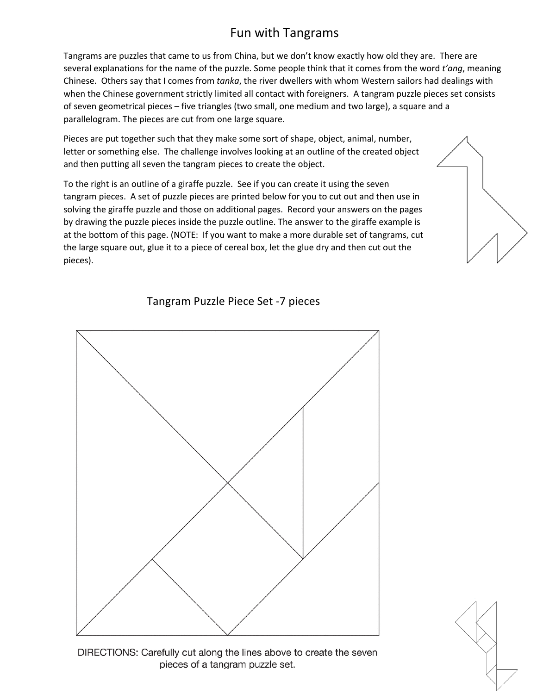## Fun with Tangrams

Tangrams are puzzles that came to us from China, but we don't know exactly how old they are. There are several explanations for the name of the puzzle. Some people think that it comes from the word *t'ang*, meaning Chinese. Others say that I comes from *tanka*, the river dwellers with whom Western sailors had dealings with when the Chinese government strictly limited all contact with foreigners. A tangram puzzle pieces set consists of seven geometrical pieces – five triangles (two small, one medium and two large), a square and a parallelogram. The pieces are cut from one large square.

Pieces are put together such that they make some sort of shape, object, animal, number, letter or something else. The challenge involves looking at an outline of the created object and then putting all seven the tangram pieces to create the object.

To the right is an outline of a giraffe puzzle. See if you can create it using the seven tangram pieces. A set of puzzle pieces are printed below for you to cut out and then use in solving the giraffe puzzle and those on additional pages. Record your answers on the pages by drawing the puzzle pieces inside the puzzle outline. The answer to the giraffe example is at the bottom of this page. (NOTE: If you want to make a more durable set of tangrams, cut the large square out, glue it to a piece of cereal box, let the glue dry and then cut out the pieces).









DIRECTIONS: Carefully cut along the lines above to create the seven pieces of a tangram puzzle set.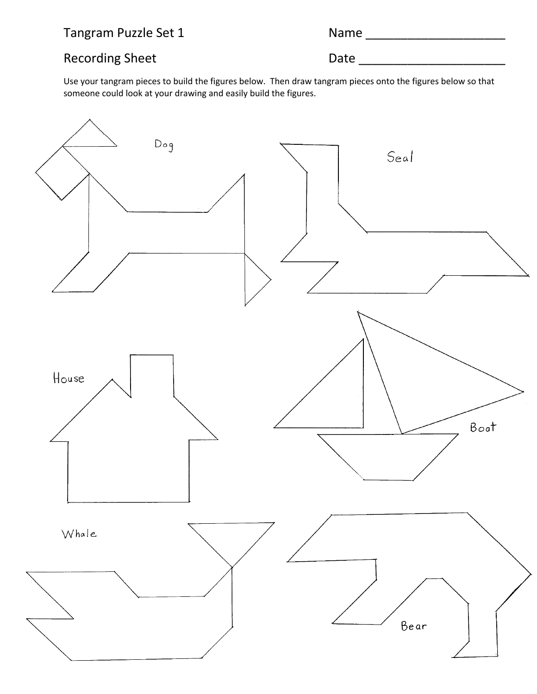Tangram Puzzle Set 1

## Recording Sheet **Date** Date **Date Date Date Date Date Date Date Date Date Date Date Date Date Date Date Date Date Date Date Date Date Date D**

Use your tangram pieces to build the figures below. Then draw tangram pieces onto the figures below so that someone could look at your drawing and easily build the figures.